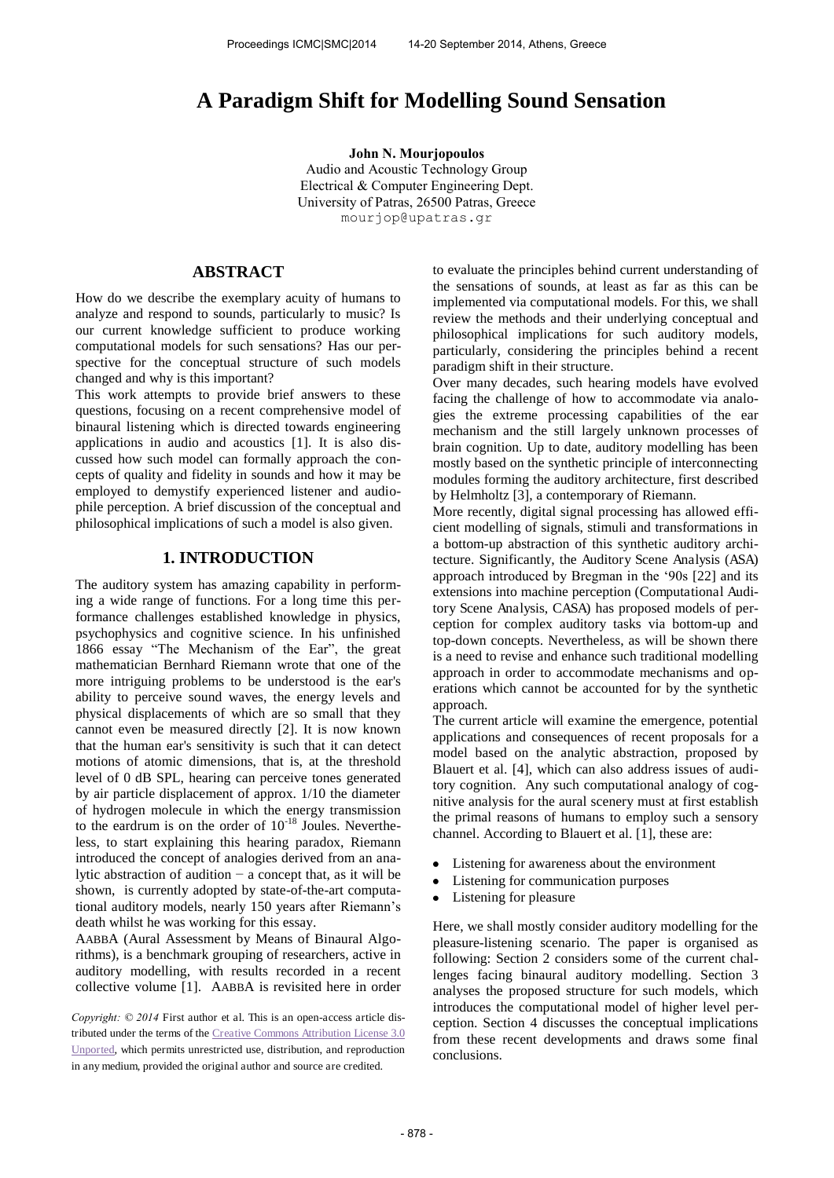# **A Paradigm Shift for Modelling Sound Sensation**

**John N. Mourjopoulos**  Audio and Acoustic Technology Group Electrical & Computer Engineering Dept. University of Patras, 26500 Patras, Greece [mourjop@upatras.gr](mailto:mourjop@upatras.gr) 

## **ABSTRACT**

How do we describe the exemplary acuity of humans to analyze and respond to sounds, particularly to music? Is our current knowledge sufficient to produce working computational models for such sensations? Has our perspective for the conceptual structure of such models changed and why is this important?

This work attempts to provide brief answers to these questions, focusing on a recent comprehensive model of binaural listening which is directed towards engineering applications in audio and acoustics [1]. It is also discussed how such model can formally approach the concepts of quality and fidelity in sounds and how it may be employed to demystify experienced listener and audiophile perception. A brief discussion of the conceptual and philosophical implications of such a model is also given.

## **1. INTRODUCTION**

The auditory system has amazing capability in performing a wide range of functions. For a long time this performance challenges established knowledge in physics, psychophysics and cognitive science. In his unfinished 1866 essay "The Mechanism of the Ear", the great mathematician Bernhard Riemann wrote that one of the more intriguing problems to be understood is the ear's ability to perceive sound waves, the energy levels and physical displacements of which are so small that they cannot even be measured directly [2]. It is now known that the human ear's sensitivity is such that it can detect motions of atomic dimensions, that is, at the threshold level of 0 dB SPL, hearing can perceive tones generated by air particle displacement of approx. 1/10 the diameter of hydrogen molecule in which the energy transmission to the eardrum is on the order of  $10^{-18}$  Joules. Nevertheless, to start explaining this hearing paradox, Riemann introduced the concept of analogies derived from an analytic abstraction of audition − a concept that, as it will be shown, is currently adopted by state-of-the-art computational auditory models, nearly 150 years after Riemann's death whilst he was working for this essay.

AABBA (Aural Assessment by Means of Binaural Algorithms), is a benchmark grouping of researchers, active in auditory modelling, with results recorded in a recent collective volume [1]. AABBA is revisited here in order

*Copyright: © 2014* First author et al. This is an open-access article distributed under the terms of th[e Creative Commons Attribution License 3.0](http://creativecommons.org/licenses/by/3.0/)  [Unported,](http://creativecommons.org/licenses/by/3.0/) which permits unrestricted use, distribution, and reproduction in any medium, provided the original author and source are credited.

to evaluate the principles behind current understanding of the sensations of sounds, at least as far as this can be implemented via computational models. For this, we shall review the methods and their underlying conceptual and philosophical implications for such auditory models, particularly, considering the principles behind a recent paradigm shift in their structure.

Over many decades, such hearing models have evolved facing the challenge of how to accommodate via analogies the extreme processing capabilities of the ear mechanism and the still largely unknown processes of brain cognition. Up to date, auditory modelling has been mostly based on the synthetic principle of interconnecting modules forming the auditory architecture, first described by Helmholtz [3], a contemporary of Riemann.

More recently, digital signal processing has allowed efficient modelling of signals, stimuli and transformations in a bottom-up abstraction of this synthetic auditory architecture. Significantly, the Auditory Scene Analysis (ASA) approach introduced by Bregman in the '90s [22] and its extensions into machine perception (Computational Auditory Scene Analysis, CASA) has proposed models of perception for complex auditory tasks via bottom-up and top-down concepts. Nevertheless, as will be shown there is a need to revise and enhance such traditional modelling approach in order to accommodate mechanisms and operations which cannot be accounted for by the synthetic approach.

The current article will examine the emergence, potential applications and consequences of recent proposals for a model based on the analytic abstraction, proposed by Blauert et al. [4], which can also address issues of auditory cognition. Any such computational analogy of cognitive analysis for the aural scenery must at first establish the primal reasons of humans to employ such a sensory channel. According to Blauert et al. [1], these are:

- Listening for awareness about the environment
- Listening for communication purposes
- Listening for pleasure

Here, we shall mostly consider auditory modelling for the pleasure-listening scenario. The paper is organised as following: Section 2 considers some of the current challenges facing binaural auditory modelling. Section 3 analyses the proposed structure for such models, which introduces the computational model of higher level perception. Section 4 discusses the conceptual implications from these recent developments and draws some final conclusions.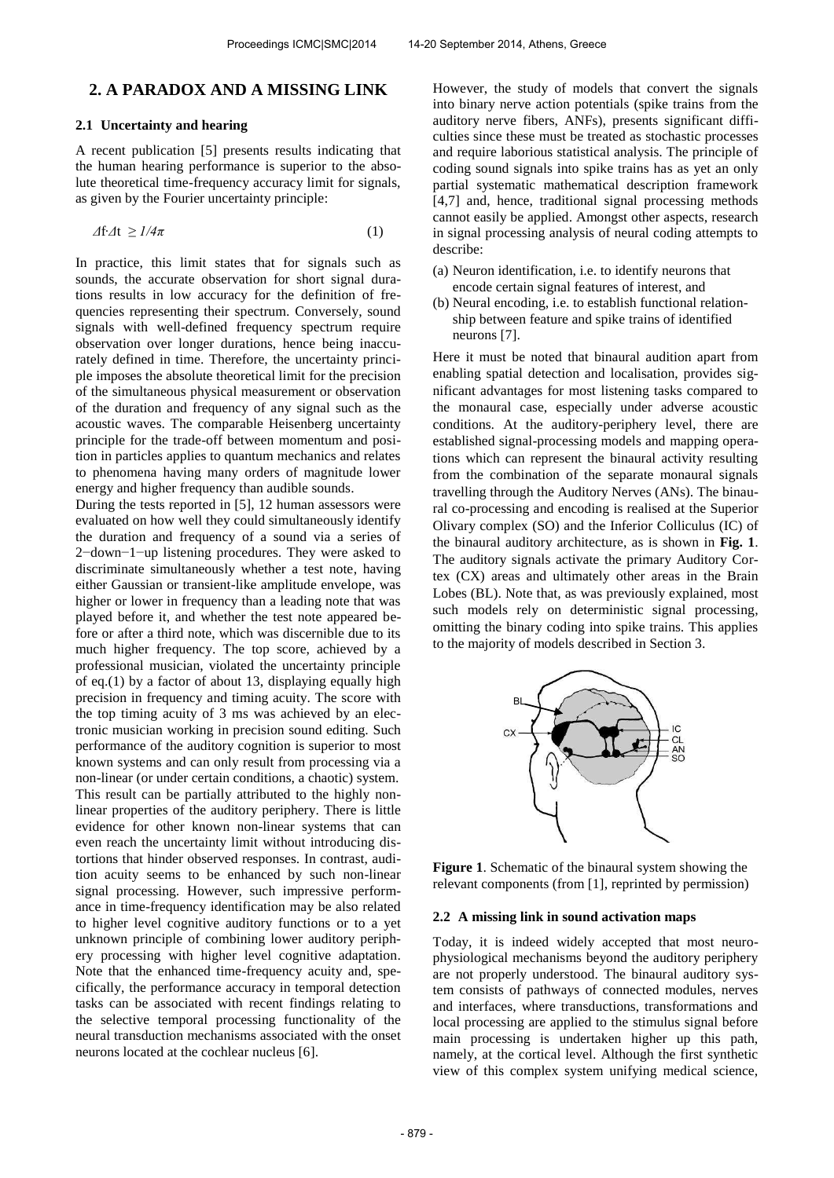## **2. A PARADOX AND A MISSING LINK**

#### **2.1 Uncertainty and hearing**

A recent publication [5] presents results indicating that the human hearing performance is superior to the absolute theoretical time-frequency accuracy limit for signals, as given by the Fourier uncertainty principle:

$$
\Delta f \Delta t \geq 1/4\pi \tag{1}
$$

In practice, this limit states that for signals such as sounds, the accurate observation for short signal durations results in low accuracy for the definition of frequencies representing their spectrum. Conversely, sound signals with well-defined frequency spectrum require observation over longer durations, hence being inaccurately defined in time. Therefore, the uncertainty principle imposes the absolute theoretical limit for the precision of the simultaneous physical measurement or observation of the duration and frequency of any signal such as the acoustic waves. The comparable Heisenberg uncertainty principle for the trade-off between momentum and position in particles applies to quantum mechanics and relates to phenomena having many orders of magnitude lower energy and higher frequency than audible sounds.

During the tests reported in [5], 12 human assessors were evaluated on how well they could simultaneously identify the duration and frequency of a sound via a series of 2−down−1−up listening procedures. They were asked to discriminate simultaneously whether a test note, having either Gaussian or transient-like amplitude envelope, was higher or lower in frequency than a leading note that was played before it, and whether the test note appeared before or after a third note, which was discernible due to its much higher frequency. The top score, achieved by a professional musician, violated the uncertainty principle of eq.(1) by a factor of about 13, displaying equally high precision in frequency and timing acuity. The score with the top timing acuity of 3 ms was achieved by an electronic musician working in precision sound editing. Such performance of the auditory cognition is superior to most known systems and can only result from processing via a non-linear (or under certain conditions, a chaotic) system. This result can be partially attributed to the highly nonlinear properties of the auditory periphery. There is little evidence for other known non-linear systems that can even reach the uncertainty limit without introducing distortions that hinder observed responses. In contrast, audition acuity seems to be enhanced by such non-linear signal processing. However, such impressive performance in time-frequency identification may be also related to higher level cognitive auditory functions or to a yet unknown principle of combining lower auditory periphery processing with higher level cognitive adaptation. Note that the enhanced time-frequency acuity and, specifically, the performance accuracy in temporal detection tasks can be associated with recent findings relating to the selective temporal processing functionality of the neural transduction mechanisms associated with the onset neurons located at the cochlear nucleus [6].

However, the study of models that convert the signals into binary nerve action potentials (spike trains from the auditory nerve fibers, ANFs), presents significant difficulties since these must be treated as stochastic processes and require laborious statistical analysis. The principle of coding sound signals into spike trains has as yet an only partial systematic mathematical description framework [4,7] and, hence, traditional signal processing methods cannot easily be applied. Amongst other aspects, research in signal processing analysis of neural coding attempts to describe:

- (a) Neuron identification, i.e. to identify neurons that encode certain signal features of interest, and
- (b) Neural encoding, i.e. to establish functional relationship between feature and spike trains of identified neurons [7].

Here it must be noted that binaural audition apart from enabling spatial detection and localisation, provides significant advantages for most listening tasks compared to the monaural case, especially under adverse acoustic conditions. At the auditory-periphery level, there are established signal-processing models and mapping operations which can represent the binaural activity resulting from the combination of the separate monaural signals travelling through the Auditory Nerves (ANs). The binaural co-processing and encoding is realised at the Superior Olivary complex (SO) and the Inferior Colliculus (IC) of the binaural auditory architecture, as is shown in **Fig. 1**. The auditory signals activate the primary Auditory Cortex (CX) areas and ultimately other areas in the Brain Lobes (BL). Note that, as was previously explained, most such models rely on deterministic signal processing, omitting the binary coding into spike trains. This applies to the majority of models described in Section 3.



**Figure 1**. Schematic of the binaural system showing the relevant components (from [1], reprinted by permission)

#### **2.2 A missing link in sound activation maps**

Today, it is indeed widely accepted that most neurophysiological mechanisms beyond the auditory periphery are not properly understood. The binaural auditory system consists of pathways of connected modules, nerves and interfaces, where transductions, transformations and local processing are applied to the stimulus signal before main processing is undertaken higher up this path, namely, at the cortical level. Although the first synthetic view of this complex system unifying medical science,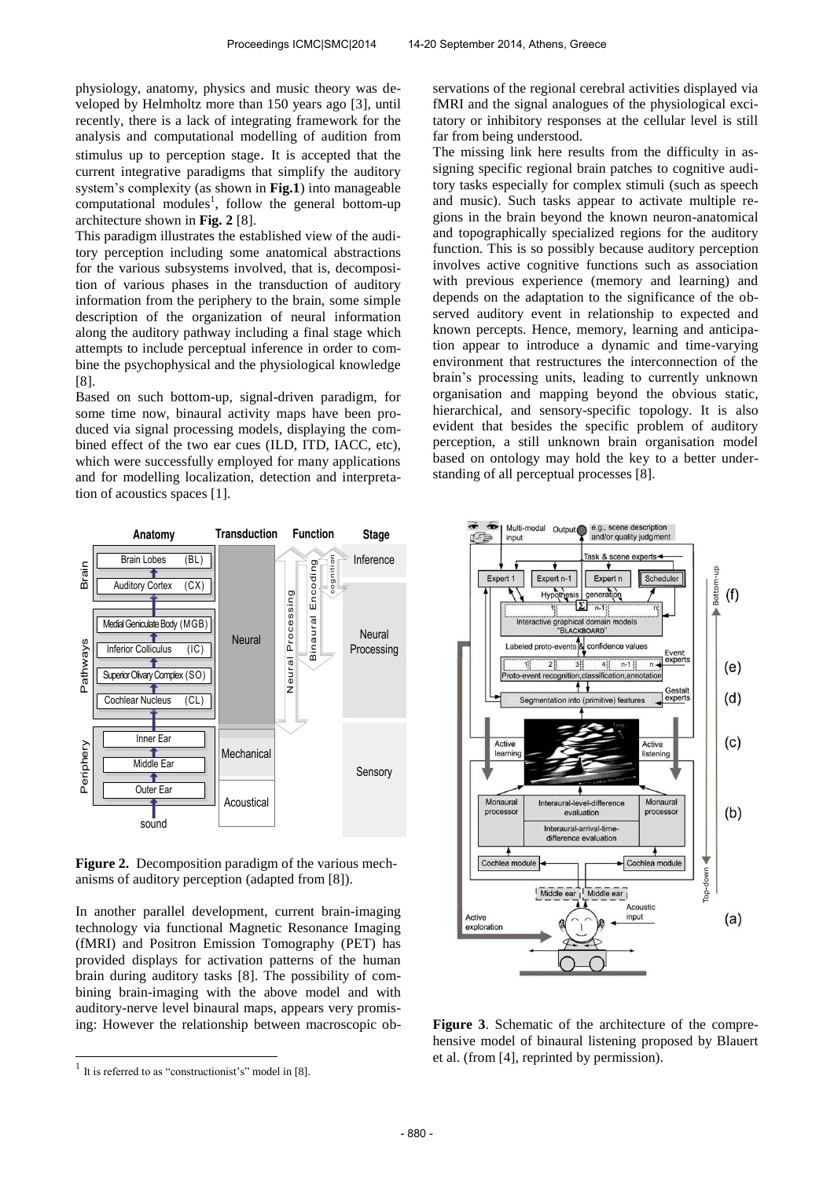physiology, anatomy, physics and music theory was developed by Helmholtz more than 150 years ago [3], until recently, there is a lack of integrating framework for the analysis and computational modelling of audition from stimulus up to perception stage. It is accepted that the current integrative paradigms that simplify the auditory system's complexity (as shown in **Fig.1**) into manageable computational modules<sup>1</sup>, follow the general bottom-up architecture shown in **Fig. 2** [8].

This paradigm illustrates the established view of the auditory perception including some anatomical abstractions for the various subsystems involved, that is, decomposition of various phases in the transduction of auditory information from the periphery to the brain, some simple description of the organization of neural information along the auditory pathway including a final stage which attempts to include perceptual inference in order to combine the psychophysical and the physiological knowledge [8].

Based on such bottom-up, signal-driven paradigm, for some time now, binaural activity maps have been produced via signal processing models, displaying the combined effect of the two ear cues (ILD, ITD, IACC, etc), which were successfully employed for many applications and for modelling localization, detection and interpretation of acoustics spaces [1].

servations of the regional cerebral activities displayed via fMRI and the signal analogues of the physiological excitatory or inhibitory responses at the cellular level is still far from being understood.

The missing link here results from the difficulty in assigning specific regional brain patches to cognitive auditory tasks especially for complex stimuli (such as speech and music). Such tasks appear to activate multiple regions in the brain beyond the known neuron-anatomical and topographically specialized regions for the auditory function. This is so possibly because auditory perception involves active cognitive functions such as association with previous experience (memory and learning) and depends on the adaptation to the significance of the observed auditory event in relationship to expected and known percepts. Hence, memory, learning and anticipation appear to introduce a dynamic and time-varying environment that restructures the interconnection of the brain's processing units, leading to currently unknown organisation and mapping beyond the obvious static, hierarchical, and sensory-specific topology. It is also evident that besides the specific problem of auditory perception, a still unknown brain organisation model based on ontology may hold the key to a better understanding of all perceptual processes [8].



**Figure 2.** Decomposition paradigm of the various mechanisms of auditory perception (adapted from [8]).

In another parallel development, current brain-imaging technology via functional Magnetic Resonance Imaging (fMRI) and Positron Emission Tomography (PET) has provided displays for activation patterns of the human brain during auditory tasks [8]. The possibility of combining brain-imaging with the above model and with auditory-nerve level binaural maps, appears very promising: However the relationship between macroscopic ob-

l



**Figure 3**. Schematic of the architecture of the comprehensive model of binaural listening proposed by Blauert et al. (from [4], reprinted by permission).

<sup>&</sup>lt;sup>1</sup> It is referred to as "constructionist's" model in [8].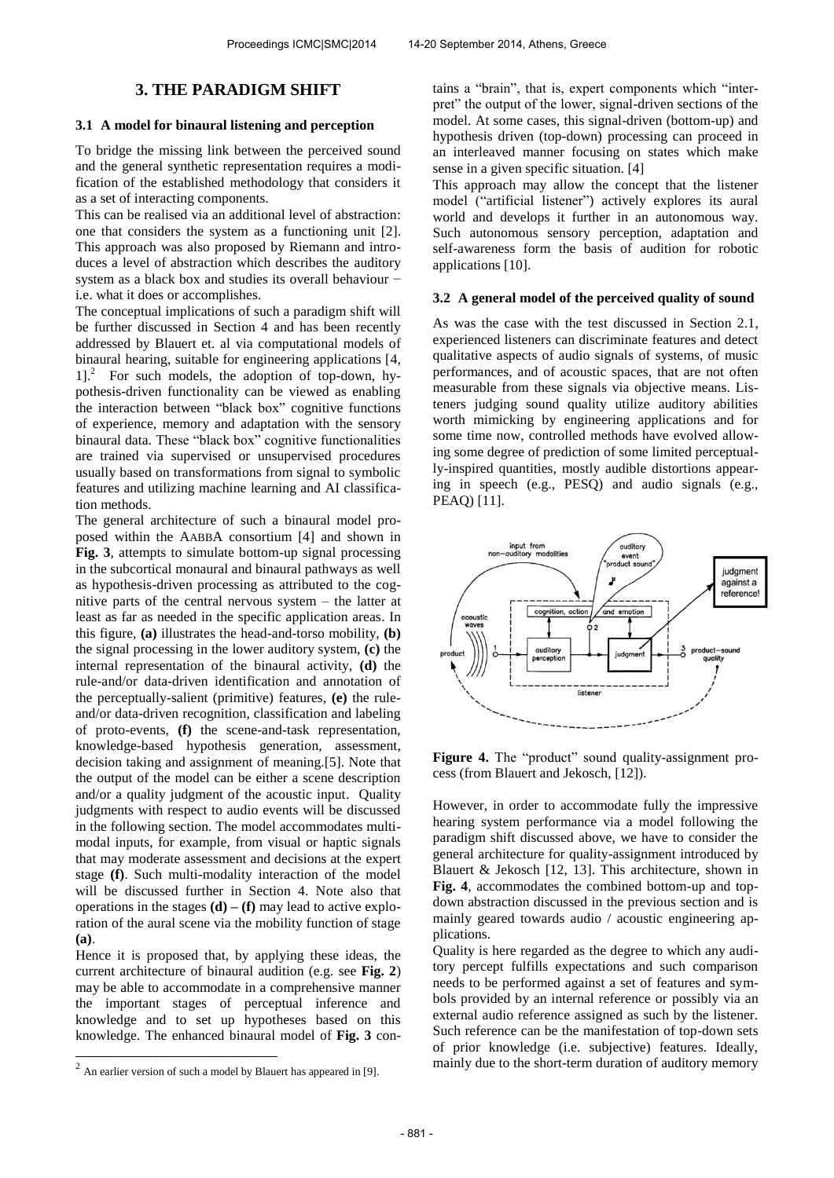## **3. THE PARADIGM SHIFT**

#### **3.1 A model for binaural listening and perception**

To bridge the missing link between the perceived sound and the general synthetic representation requires a modification of the established methodology that considers it as a set of interacting components.

This can be realised via an additional level of abstraction: one that considers the system as a functioning unit [2]. This approach was also proposed by Riemann and introduces a level of abstraction which describes the auditory system as a black box and studies its overall behaviour − i.e. what it does or accomplishes.

The conceptual implications of such a paradigm shift will be further discussed in Section 4 and has been recently addressed by Blauert et. al via computational models of binaural hearing, suitable for engineering applications [4, 1]. 2 For such models, the adoption of top-down, hypothesis-driven functionality can be viewed as enabling the interaction between "black box" cognitive functions of experience, memory and adaptation with the sensory binaural data. These "black box" cognitive functionalities are trained via supervised or unsupervised procedures usually based on transformations from signal to symbolic features and utilizing machine learning and AI classification methods.

The general architecture of such a binaural model proposed within the AABBA consortium [4] and shown in **Fig. 3**, attempts to simulate bottom-up signal processing in the subcortical monaural and binaural pathways as well as hypothesis-driven processing as attributed to the cognitive parts of the central nervous system – the latter at least as far as needed in the specific application areas. In this figure, **(a)** illustrates the head-and-torso mobility, **(b)** the signal processing in the lower auditory system, **(c)** the internal representation of the binaural activity, **(d)** the rule-and/or data-driven identification and annotation of the perceptually-salient (primitive) features, **(e)** the ruleand/or data-driven recognition, classification and labeling of proto-events, **(f)** the scene-and-task representation, knowledge-based hypothesis generation, assessment, decision taking and assignment of meaning.[5]. Note that the output of the model can be either a scene description and/or a quality judgment of the acoustic input. Quality judgments with respect to audio events will be discussed in the following section. The model accommodates multimodal inputs, for example, from visual or haptic signals that may moderate assessment and decisions at the expert stage **(f)**. Such multi-modality interaction of the model will be discussed further in Section 4. Note also that operations in the stages  $(d) - (f)$  may lead to active exploration of the aural scene via the mobility function of stage **(a)**.

Hence it is proposed that, by applying these ideas, the current architecture of binaural audition (e.g. see **Fig. 2**) may be able to accommodate in a comprehensive manner the important stages of perceptual inference and knowledge and to set up hypotheses based on this knowledge. The enhanced binaural model of **Fig. 3** contains a "brain", that is, expert components which "interpret" the output of the lower, signal-driven sections of the model. At some cases, this signal-driven (bottom-up) and hypothesis driven (top-down) processing can proceed in an interleaved manner focusing on states which make sense in a given specific situation. [4]

This approach may allow the concept that the listener model ("artificial listener") actively explores its aural world and develops it further in an autonomous way. Such autonomous sensory perception, adaptation and self-awareness form the basis of audition for robotic applications [10].

#### **3.2 A general model of the perceived quality of sound**

As was the case with the test discussed in Section 2.1, experienced listeners can discriminate features and detect qualitative aspects of audio signals of systems, of music performances, and of acoustic spaces, that are not often measurable from these signals via objective means. Listeners judging sound quality utilize auditory abilities worth mimicking by engineering applications and for some time now, controlled methods have evolved allowing some degree of prediction of some limited perceptually-inspired quantities, mostly audible distortions appearing in speech (e.g., PESQ) and audio signals (e.g., PEAQ) [11].



Figure 4. The "product" sound quality-assignment process (from Blauert and Jekosch, [12]).

However, in order to accommodate fully the impressive hearing system performance via a model following the paradigm shift discussed above, we have to consider the general architecture for quality-assignment introduced by Blauert & Jekosch [12, 13]. This architecture, shown in **Fig. 4**, accommodates the combined bottom-up and topdown abstraction discussed in the previous section and is mainly geared towards audio / acoustic engineering applications.

Quality is here regarded as the degree to which any auditory percept fulfills expectations and such comparison needs to be performed against a set of features and symbols provided by an internal reference or possibly via an external audio reference assigned as such by the listener. Such reference can be the manifestation of top-down sets of prior knowledge (i.e. subjective) features. Ideally, mainly due to the short-term duration of auditory memory

 2 An earlier version of such a model by Blauert has appeared in [9].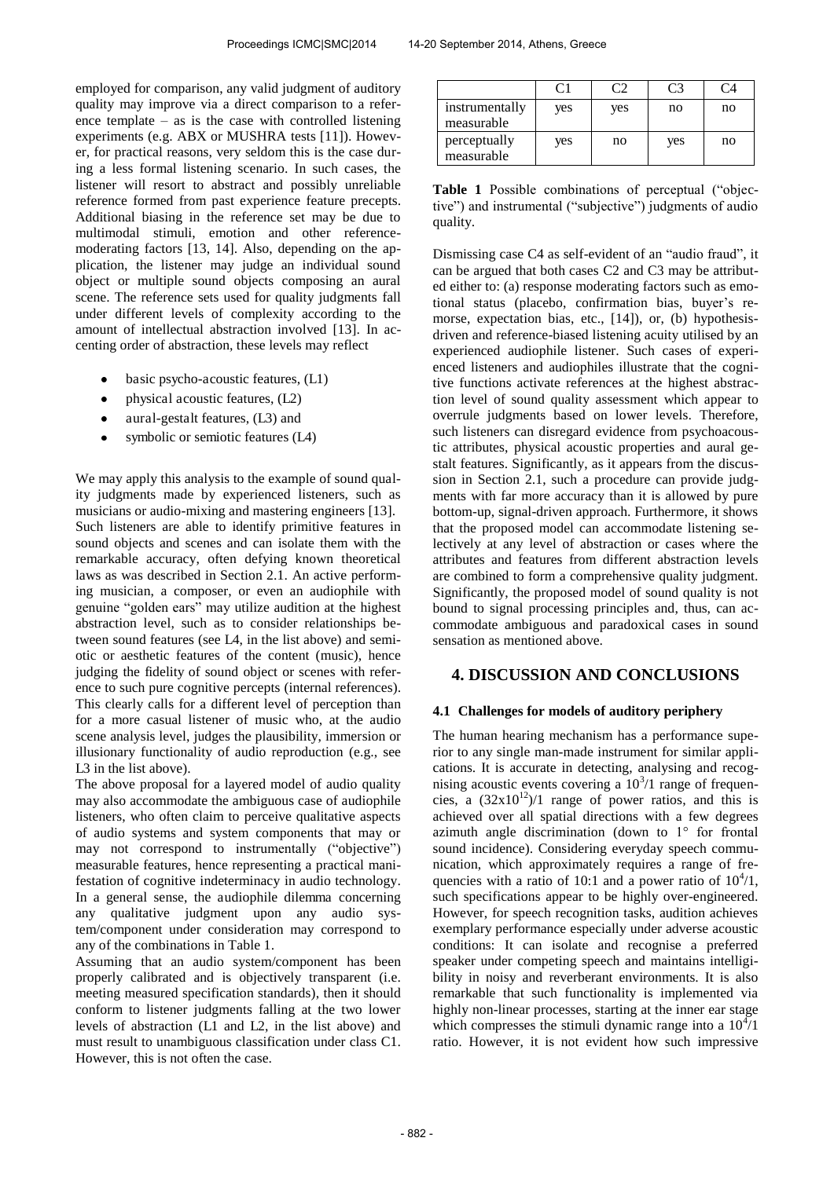employed for comparison, any valid judgment of auditory quality may improve via a direct comparison to a reference template – as is the case with controlled listening experiments (e.g. ABX or MUSHRA tests [11]). However, for practical reasons, very seldom this is the case during a less formal listening scenario. In such cases, the listener will resort to abstract and possibly unreliable reference formed from past experience feature precepts. Additional biasing in the reference set may be due to multimodal stimuli, emotion and other referencemoderating factors [13, 14]. Also, depending on the application, the listener may judge an individual sound object or multiple sound objects composing an aural scene. The reference sets used for quality judgments fall under different levels of complexity according to the amount of intellectual abstraction involved [13]. In accenting order of abstraction, these levels may reflect

- basic psycho-acoustic features, (L1)
- physical acoustic features, (L2)
- aural-gestalt features, (L3) and  $\bullet$
- symbolic or semiotic features (L4)

We may apply this analysis to the example of sound quality judgments made by experienced listeners, such as musicians or audio-mixing and mastering engineers [13]. Such listeners are able to identify primitive features in sound objects and scenes and can isolate them with the remarkable accuracy, often defying known theoretical laws as was described in Section 2.1. An active performing musician, a composer, or even an audiophile with genuine "golden ears" may utilize audition at the highest abstraction level, such as to consider relationships between sound features (see L4, in the list above) and semiotic or aesthetic features of the content (music), hence judging the fidelity of sound object or scenes with reference to such pure cognitive percepts (internal references). This clearly calls for a different level of perception than for a more casual listener of music who, at the audio scene analysis level, judges the plausibility, immersion or illusionary functionality of audio reproduction (e.g., see L3 in the list above).

The above proposal for a layered model of audio quality may also accommodate the ambiguous case of audiophile listeners, who often claim to perceive qualitative aspects of audio systems and system components that may or may not correspond to instrumentally ("objective") measurable features, hence representing a practical manifestation of cognitive indeterminacy in audio technology. In a general sense, the audiophile dilemma concerning any qualitative judgment upon any audio system/component under consideration may correspond to any of the combinations in Table 1.

Assuming that an audio system/component has been properly calibrated and is objectively transparent (i.e. meeting measured specification standards), then it should conform to listener judgments falling at the two lower levels of abstraction (L1 and L2, in the list above) and must result to unambiguous classification under class C1. However, this is not often the case.

|                              |     |     | C3  |    |
|------------------------------|-----|-----|-----|----|
| instrumentally<br>measurable | yes | yes | no  | no |
| perceptually<br>measurable   | yes | no  | yes | no |

**Table 1** Possible combinations of perceptual ("objective") and instrumental ("subjective") judgments of audio quality.

Dismissing case C4 as self-evident of an "audio fraud", it can be argued that both cases C2 and C3 may be attributed either to: (a) response moderating factors such as emotional status (placebo, confirmation bias, buyer's remorse, expectation bias, etc., [14]), or, (b) hypothesisdriven and reference-biased listening acuity utilised by an experienced audiophile listener. Such cases of experienced listeners and audiophiles illustrate that the cognitive functions activate references at the highest abstraction level of sound quality assessment which appear to overrule judgments based on lower levels. Therefore, such listeners can disregard evidence from psychoacoustic attributes, physical acoustic properties and aural gestalt features. Significantly, as it appears from the discussion in Section 2.1, such a procedure can provide judgments with far more accuracy than it is allowed by pure bottom-up, signal-driven approach. Furthermore, it shows that the proposed model can accommodate listening selectively at any level of abstraction or cases where the attributes and features from different abstraction levels are combined to form a comprehensive quality judgment. Significantly, the proposed model of sound quality is not bound to signal processing principles and, thus, can accommodate ambiguous and paradoxical cases in sound sensation as mentioned above.

## **4. DISCUSSION AND CONCLUSIONS**

### **4.1 Challenges for models of auditory periphery**

The human hearing mechanism has a performance superior to any single man-made instrument for similar applications. It is accurate in detecting, analysing and recognising acoustic events covering a  $10^{3}/1$  range of frequencies, a  $(32x10^{12})/1$  range of power ratios, and this is achieved over all spatial directions with a few degrees azimuth angle discrimination (down to 1° for frontal sound incidence). Considering everyday speech communication, which approximately requires a range of frequencies with a ratio of 10:1 and a power ratio of  $10^4/1$ , such specifications appear to be highly over-engineered. However, for speech recognition tasks, audition achieves exemplary performance especially under adverse acoustic conditions: It can isolate and recognise a preferred speaker under competing speech and maintains intelligibility in noisy and reverberant environments. It is also remarkable that such functionality is implemented via highly non-linear processes, starting at the inner ear stage which compresses the stimuli dynamic range into a  $10^{4}/1$ ratio. However, it is not evident how such impressive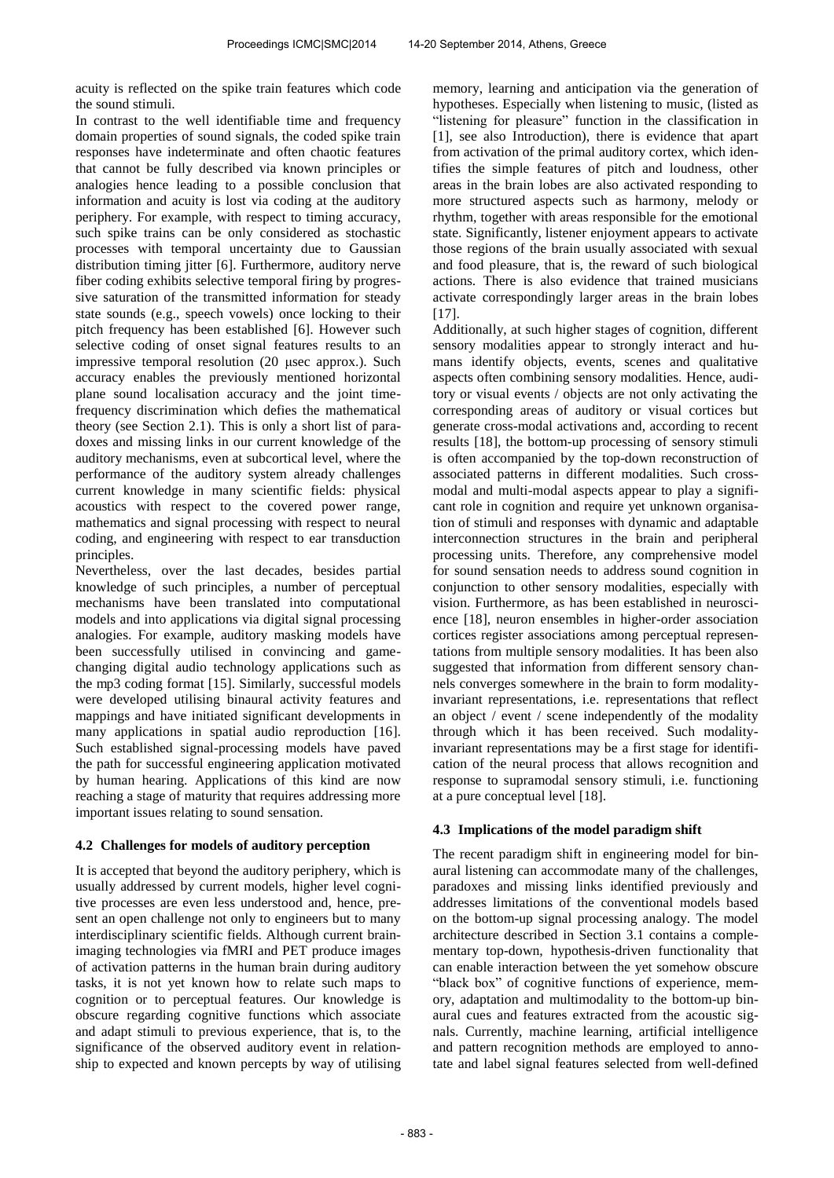acuity is reflected on the spike train features which code the sound stimuli.

In contrast to the well identifiable time and frequency domain properties of sound signals, the coded spike train responses have indeterminate and often chaotic features that cannot be fully described via known principles or analogies hence leading to a possible conclusion that information and acuity is lost via coding at the auditory periphery. For example, with respect to timing accuracy, such spike trains can be only considered as stochastic processes with temporal uncertainty due to Gaussian distribution timing jitter [6]. Furthermore, auditory nerve fiber coding exhibits selective temporal firing by progressive saturation of the transmitted information for steady state sounds (e.g., speech vowels) once locking to their pitch frequency has been established [6]. However such selective coding of onset signal features results to an impressive temporal resolution (20 μsec approx.). Such accuracy enables the previously mentioned horizontal plane sound localisation accuracy and the joint timefrequency discrimination which defies the mathematical theory (see Section 2.1). This is only a short list of paradoxes and missing links in our current knowledge of the auditory mechanisms, even at subcortical level, where the performance of the auditory system already challenges current knowledge in many scientific fields: physical acoustics with respect to the covered power range, mathematics and signal processing with respect to neural coding, and engineering with respect to ear transduction principles.

Nevertheless, over the last decades, besides partial knowledge of such principles, a number of perceptual mechanisms have been translated into computational models and into applications via digital signal processing analogies. For example, auditory masking models have been successfully utilised in convincing and gamechanging digital audio technology applications such as the mp3 coding format [15]. Similarly, successful models were developed utilising binaural activity features and mappings and have initiated significant developments in many applications in spatial audio reproduction [16]. Such established signal-processing models have paved the path for successful engineering application motivated by human hearing. Applications of this kind are now reaching a stage of maturity that requires addressing more important issues relating to sound sensation.

## **4.2 Challenges for models of auditory perception**

It is accepted that beyond the auditory periphery, which is usually addressed by current models, higher level cognitive processes are even less understood and, hence, present an open challenge not only to engineers but to many interdisciplinary scientific fields. Although current brainimaging technologies via fMRI and PET produce images of activation patterns in the human brain during auditory tasks, it is not yet known how to relate such maps to cognition or to perceptual features. Our knowledge is obscure regarding cognitive functions which associate and adapt stimuli to previous experience, that is, to the significance of the observed auditory event in relationship to expected and known percepts by way of utilising

memory, learning and anticipation via the generation of hypotheses. Especially when listening to music, (listed as "listening for pleasure" function in the classification in [1], see also Introduction), there is evidence that apart from activation of the primal auditory cortex, which identifies the simple features of pitch and loudness, other areas in the brain lobes are also activated responding to more structured aspects such as harmony, melody or rhythm, together with areas responsible for the emotional state. Significantly, listener enjoyment appears to activate those regions of the brain usually associated with sexual and food pleasure, that is, the reward of such biological actions. There is also evidence that trained musicians activate correspondingly larger areas in the brain lobes [17].

Additionally, at such higher stages of cognition, different sensory modalities appear to strongly interact and humans identify objects, events, scenes and qualitative aspects often combining sensory modalities. Hence, auditory or visual events / objects are not only activating the corresponding areas of auditory or visual cortices but generate cross-modal activations and, according to recent results [18], the bottom-up processing of sensory stimuli is often accompanied by the top-down reconstruction of associated patterns in different modalities. Such crossmodal and multi-modal aspects appear to play a significant role in cognition and require yet unknown organisation of stimuli and responses with dynamic and adaptable interconnection structures in the brain and peripheral processing units. Therefore, any comprehensive model for sound sensation needs to address sound cognition in conjunction to other sensory modalities, especially with vision. Furthermore, as has been established in neuroscience [18], neuron ensembles in higher-order association cortices register associations among perceptual representations from multiple sensory modalities. It has been also suggested that information from different sensory channels converges somewhere in the brain to form modalityinvariant representations, i.e. representations that reflect an object / event / scene independently of the modality through which it has been received. Such modalityinvariant representations may be a first stage for identification of the neural process that allows recognition and response to supramodal sensory stimuli, i.e. functioning at a pure conceptual level [18].

## **4.3 Implications of the model paradigm shift**

The recent paradigm shift in engineering model for binaural listening can accommodate many of the challenges, paradoxes and missing links identified previously and addresses limitations of the conventional models based on the bottom-up signal processing analogy. The model architecture described in Section 3.1 contains a complementary top-down, hypothesis-driven functionality that can enable interaction between the yet somehow obscure "black box" of cognitive functions of experience, memory, adaptation and multimodality to the bottom-up binaural cues and features extracted from the acoustic signals. Currently, machine learning, artificial intelligence and pattern recognition methods are employed to annotate and label signal features selected from well-defined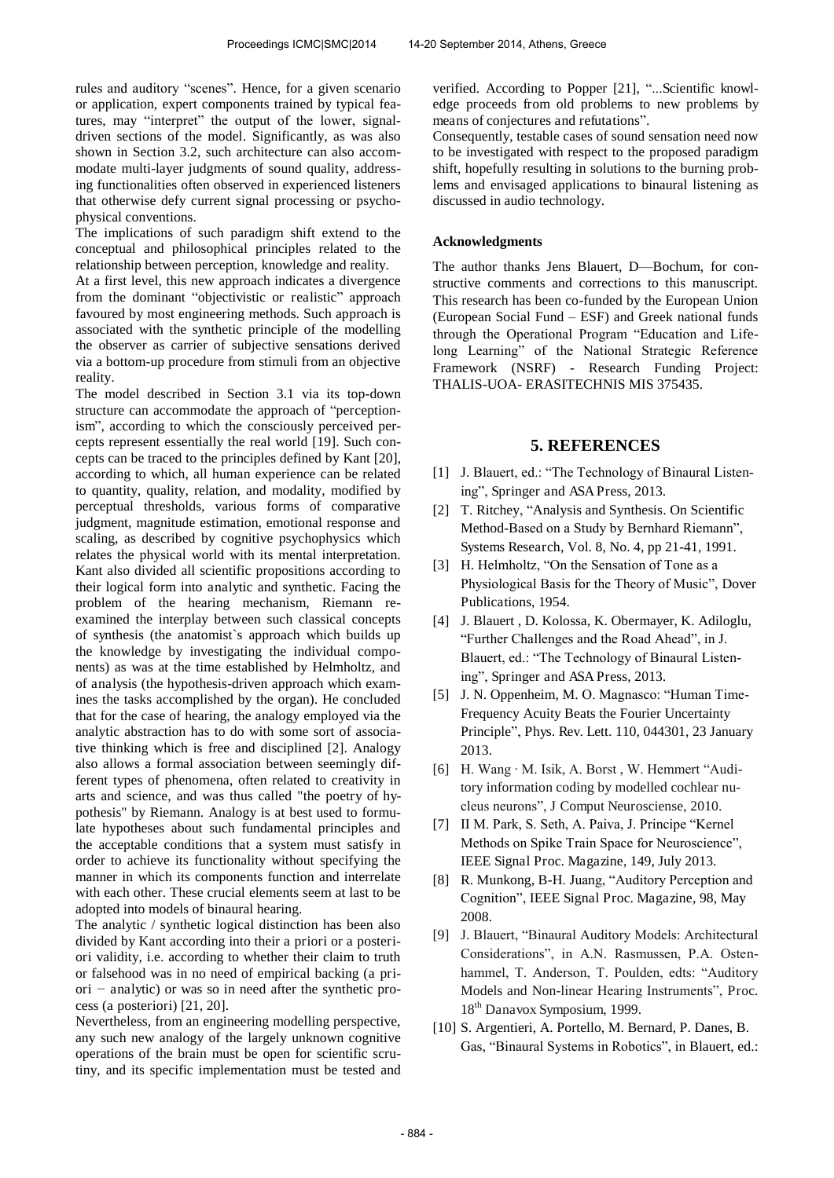rules and auditory "scenes". Hence, for a given scenario or application, expert components trained by typical features, may "interpret" the output of the lower, signaldriven sections of the model. Significantly, as was also shown in Section 3.2, such architecture can also accommodate multi-layer judgments of sound quality, addressing functionalities often observed in experienced listeners that otherwise defy current signal processing or psychophysical conventions.

The implications of such paradigm shift extend to the conceptual and philosophical principles related to the relationship between perception, knowledge and reality.

At a first level, this new approach indicates a divergence from the dominant "objectivistic or realistic" approach favoured by most engineering methods. Such approach is associated with the synthetic principle of the modelling the observer as carrier of subjective sensations derived via a bottom-up procedure from stimuli from an objective reality.

The model described in Section 3.1 via its top-down structure can accommodate the approach of "perceptionism", according to which the consciously perceived percepts represent essentially the real world [19]. Such concepts can be traced to the principles defined by Kant [20], according to which, all human experience can be related to quantity, quality, relation, and modality, modified by perceptual thresholds, various forms of comparative judgment, magnitude estimation, emotional response and scaling, as described by cognitive psychophysics which relates the physical world with its mental interpretation. Kant also divided all scientific propositions according to their logical form into analytic and synthetic. Facing the problem of the hearing mechanism, Riemann reexamined the interplay between such classical concepts of synthesis (the anatomist`s approach which builds up the knowledge by investigating the individual components) as was at the time established by Helmholtz, and of analysis (the hypothesis-driven approach which examines the tasks accomplished by the organ). He concluded that for the case of hearing, the analogy employed via the analytic abstraction has to do with some sort of associative thinking which is free and disciplined [2]. Analogy also allows a formal association between seemingly different types of phenomena, often related to creativity in arts and science, and was thus called "the poetry of hypothesis" by Riemann. Analogy is at best used to formulate hypotheses about such fundamental principles and the acceptable conditions that a system must satisfy in order to achieve its functionality without specifying the manner in which its components function and interrelate with each other. These crucial elements seem at last to be adopted into models of binaural hearing.

The analytic / synthetic logical distinction has been also divided by Kant according into their a priori or a posteriori validity, i.e. according to whether their claim to truth or falsehood was in no need of empirical backing (a priori *−* analytic) or was so in need after the synthetic process (a posteriori) [21, 20].

Nevertheless, from an engineering modelling perspective, any such new analogy of the largely unknown cognitive operations of the brain must be open for scientific scrutiny, and its specific implementation must be tested and

verified. According to Popper [21], "...Scientific knowledge proceeds from old problems to new problems by means of conjectures and refutations".

Consequently, testable cases of sound sensation need now to be investigated with respect to the proposed paradigm shift, hopefully resulting in solutions to the burning problems and envisaged applications to binaural listening as discussed in audio technology.

#### **Acknowledgments**

The author thanks Jens Blauert, D—Bochum, for constructive comments and corrections to this manuscript. This research has been co-funded by the European Union (European Social Fund – ESF) and Greek national funds through the Operational Program "Education and Lifelong Learning" of the National Strategic Reference Framework (NSRF) - Research Funding Project: THALIS-UOA- ERASITECHNIS MIS 375435.

## **5. REFERENCES**

- [1] J. Blauert, ed.: "The Technology of Binaural Listening", Springer and ASA Press, 2013.
- [2] T. Ritchey, "Analysis and Synthesis. On Scientific Method-Based on a Study by Bernhard Riemann", Systems Research, Vol. 8, No. 4, pp 21-41, 1991.
- [3] H. Helmholtz, "On the Sensation of Tone as a Physiological Basis for the Theory of Music", Dover Publications, 1954.
- [4] J. Blauert , D. Kolossa, K. Obermayer, K. Adiloglu, "Further Challenges and the Road Ahead", in J. Blauert, ed.: "The Technology of Binaural Listening", Springer and ASA Press, 2013.
- [5] J. N. Oppenheim, M. O. Magnasco: "Human Time-Frequency Acuity Beats the Fourier Uncertainty Principle", Phys. Rev. Lett. 110, 044301, 23 January 2013.
- [6] H. Wang · M. Isik, A. Borst , W. Hemmert "Auditory information coding by modelled cochlear nucleus neurons", J Comput Neurosciense, 2010.
- [7] II M. Park, S. Seth, A. Paiva, J. Principe "Kernel Methods on Spike Train Space for Neuroscience", IEEE Signal Proc. Magazine, 149, July 2013.
- [8] R. Munkong, B-H. Juang, "Auditory Perception and Cognition", IEEE Signal Proc. Magazine, 98, May 2008.
- [9] J. Blauert, "Binaural Auditory Models: Architectural Considerations", in A.N. Rasmussen, P.A. Ostenhammel, T. Anderson, T. Poulden, edts: "Auditory Models and Non-linear Hearing Instruments", Proc. 18<sup>th</sup> Danavox Symposium, 1999.
- [10] S. Argentieri, A. Portello, M. Bernard, P. Danes, B. Gas, "Binaural Systems in Robotics", in Blauert, ed.: